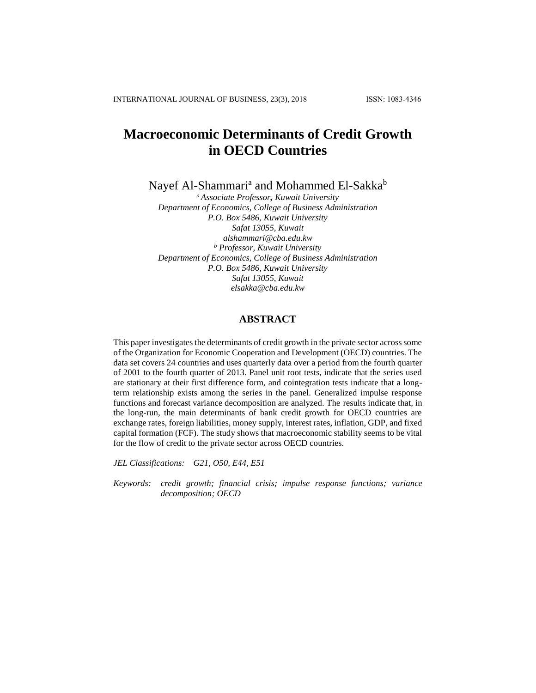# **Macroeconomic Determinants of Credit Growth in OECD Countries**

Nayef Al-Shammari<sup>a</sup> and Mohammed El-Sakka<sup>b</sup>

*<sup>a</sup> Associate Professor, Kuwait University Department of Economics, College of Business Administration P.O. Box 5486, Kuwait University Safat 13055, Kuwait alshammari@cba.edu.kw <sup>b</sup> Professor, Kuwait University Department of Economics, College of Business Administration P.O. Box 5486, Kuwait University Safat 13055, Kuwait [elsakka@cba.edu.kw](mailto:elsakka@cba.edu.kw)*

## **ABSTRACT**

This paper investigates the determinants of credit growth in the private sector across some of the Organization for Economic Cooperation and Development (OECD) countries. The data set covers 24 countries and uses quarterly data over a period from the fourth quarter of 2001 to the fourth quarter of 2013. Panel unit root tests, indicate that the series used are stationary at their first difference form, and cointegration tests indicate that a longterm relationship exists among the series in the panel. Generalized impulse response functions and forecast variance decomposition are analyzed. The results indicate that, in the long-run, the main determinants of bank credit growth for OECD countries are exchange rates, foreign liabilities, money supply, interest rates, inflation, GDP, and fixed capital formation (FCF). The study shows that macroeconomic stability seems to be vital for the flow of credit to the private sector across OECD countries.

*JEL Classifications: G21, O50, E44, E51*

*Keywords: credit growth; financial crisis; impulse response functions; variance decomposition; OECD*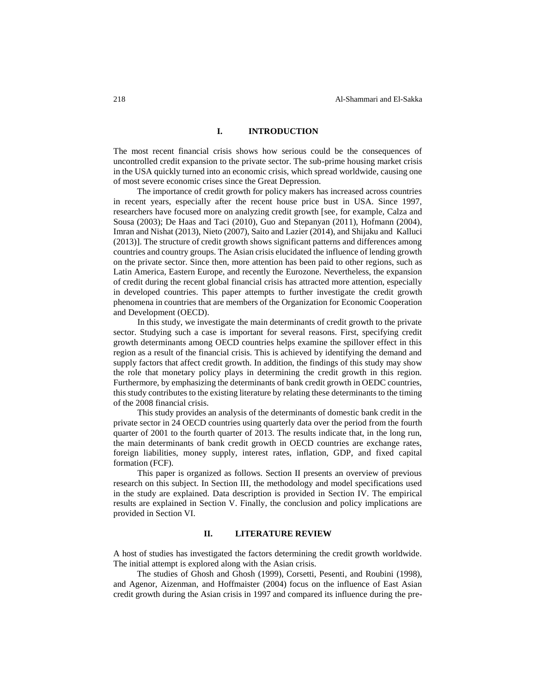#### **I. INTRODUCTION**

The most recent financial crisis shows how serious could be the consequences of uncontrolled credit expansion to the private sector. The sub-prime housing market crisis in the USA quickly turned into an economic crisis, which spread worldwide, causing one of most severe economic crises since the Great Depression.

The importance of credit growth for policy makers has increased across countries in recent years, especially after the recent house price bust in USA. Since 1997, researchers have focused more on analyzing credit growth [see, for example, Calza and Sousa (2003); De Haas and Taci (2010), Guo and Stepanyan (2011), Hofmann (2004), Imran and Nishat (2013), Nieto (2007), Saito and Lazier (2014), and Shijaku and Kalluci (2013)]. The structure of credit growth shows significant patterns and differences among countries and country groups. The Asian crisis elucidated the influence of lending growth on the private sector. Since then, more attention has been paid to other regions, such as Latin America, Eastern Europe, and recently the Eurozone. Nevertheless, the expansion of credit during the recent global financial crisis has attracted more attention, especially in developed countries. This paper attempts to further investigate the credit growth phenomena in countries that are members of the Organization for Economic Cooperation and Development (OECD).

In this study, we investigate the main determinants of credit growth to the private sector. Studying such a case is important for several reasons. First, specifying credit growth determinants among OECD countries helps examine the spillover effect in this region as a result of the financial crisis. This is achieved by identifying the demand and supply factors that affect credit growth. In addition, the findings of this study may show the role that monetary policy plays in determining the credit growth in this region. Furthermore, by emphasizing the determinants of bank credit growth in OEDC countries, this study contributes to the existing literature by relating these determinants to the timing of the 2008 financial crisis.

This study provides an analysis of the determinants of domestic bank credit in the private sector in 24 OECD countries using quarterly data over the period from the fourth quarter of 2001 to the fourth quarter of 2013. The results indicate that, in the long run, the main determinants of bank credit growth in OECD countries are exchange rates, foreign liabilities, money supply, interest rates, inflation, GDP, and fixed capital formation (FCF).

This paper is organized as follows. Section II presents an overview of previous research on this subject. In Section III, the methodology and model specifications used in the study are explained. Data description is provided in Section IV. The empirical results are explained in Section V. Finally, the conclusion and policy implications are provided in Section VI.

## **II. LITERATURE REVIEW**

A host of studies has investigated the factors determining the credit growth worldwide. The initial attempt is explored along with the Asian crisis.

The studies of Ghosh and Ghosh (1999), Corsetti, Pesenti, and Roubini (1998), and Agenor, Aizenman, and Hoffmaister (2004) focus on the influence of East Asian credit growth during the Asian crisis in 1997 and compared its influence during the pre-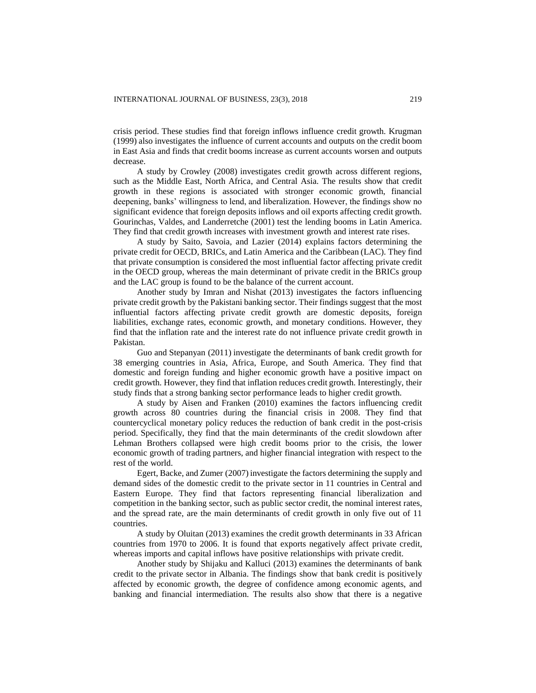crisis period. These studies find that foreign inflows influence credit growth. Krugman (1999) also investigates the influence of current accounts and outputs on the credit boom in East Asia and finds that credit booms increase as current accounts worsen and outputs decrease.

A study by Crowley (2008) investigates credit growth across different regions, such as the Middle East, North Africa, and Central Asia. The results show that credit growth in these regions is associated with stronger economic growth, financial deepening, banks' willingness to lend, and liberalization. However, the findings show no significant evidence that foreign deposits inflows and oil exports affecting credit growth. Gourinchas, Valdes, and Landerretche (2001) test the lending booms in Latin America. They find that credit growth increases with investment growth and interest rate rises.

A study by Saito, Savoia, and Lazier (2014) explains factors determining the private credit for OECD, BRICs, and Latin America and the Caribbean (LAC). They find that private consumption is considered the most influential factor affecting private credit in the OECD group, whereas the main determinant of private credit in the BRICs group and the LAC group is found to be the balance of the current account.

Another study by Imran and Nishat (2013) investigates the factors influencing private credit growth by the Pakistani banking sector. Their findings suggest that the most influential factors affecting private credit growth are domestic deposits, foreign liabilities, exchange rates, economic growth, and monetary conditions. However, they find that the inflation rate and the interest rate do not influence private credit growth in Pakistan.

Guo and Stepanyan (2011) investigate the determinants of bank credit growth for 38 emerging countries in Asia, Africa, Europe, and South America. They find that domestic and foreign funding and higher economic growth have a positive impact on credit growth. However, they find that inflation reduces credit growth. Interestingly, their study finds that a strong banking sector performance leads to higher credit growth.

A study by Aisen and Franken (2010) examines the factors influencing credit growth across 80 countries during the financial crisis in 2008. They find that countercyclical monetary policy reduces the reduction of bank credit in the post-crisis period. Specifically, they find that the main determinants of the credit slowdown after Lehman Brothers collapsed were high credit booms prior to the crisis, the lower economic growth of trading partners, and higher financial integration with respect to the rest of the world.

Egert, Backe, and Zumer (2007) investigate the factors determining the supply and demand sides of the domestic credit to the private sector in 11 countries in Central and Eastern Europe. They find that factors representing financial liberalization and competition in the banking sector, such as public sector credit, the nominal interest rates, and the spread rate, are the main determinants of credit growth in only five out of 11 countries.

A study by Oluitan (2013) examines the credit growth determinants in 33 African countries from 1970 to 2006. It is found that exports negatively affect private credit, whereas imports and capital inflows have positive relationships with private credit.

Another study by Shijaku and Kalluci (2013) examines the determinants of bank credit to the private sector in Albania. The findings show that bank credit is positively affected by economic growth, the degree of confidence among economic agents, and banking and financial intermediation. The results also show that there is a negative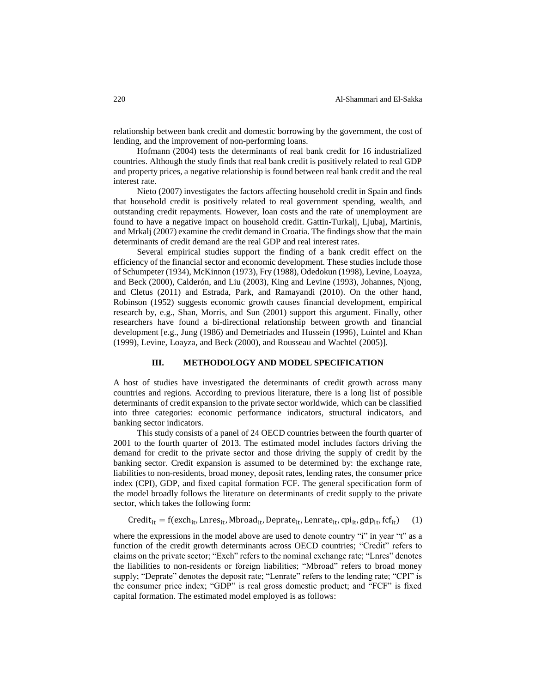relationship between bank credit and domestic borrowing by the government, the cost of lending, and the improvement of non-performing loans.

Hofmann (2004) tests the determinants of real bank credit for 16 industrialized countries. Although the study finds that real bank credit is positively related to real GDP and property prices, a negative relationship is found between real bank credit and the real interest rate.

Nieto (2007) investigates the factors affecting household credit in Spain and finds that household credit is positively related to real government spending, wealth, and outstanding credit repayments. However, loan costs and the rate of unemployment are found to have a negative impact on household credit. Gattin-Turkalj, Ljubaj, Martinis, and Mrkalj (2007) examine the credit demand in Croatia. The findings show that the main determinants of credit demand are the real GDP and real interest rates.

Several empirical studies support the finding of a bank credit effect on the efficiency of the financial sector and economic development. These studies include those of Schumpeter (1934), McKinnon (1973), Fry (1988), Odedokun (1998), Levine, Loayza, and Beck (2000), Calderón, and Liu (2003), King and Levine (1993), Johannes, Njong, and Cletus (2011) and Estrada, Park, and Ramayandi (2010). On the other hand, Robinson (1952) suggests economic growth causes financial development, empirical research by, e.g., Shan, Morris, and Sun (2001) support this argument. Finally, other researchers have found a bi-directional relationship between growth and financial development [e.g., Jung (1986) and Demetriades and Hussein (1996), Luintel and Khan (1999), Levine, Loayza, and Beck (2000), and Rousseau and Wachtel (2005)].

#### **III. METHODOLOGY AND MODEL SPECIFICATION**

A host of studies have investigated the determinants of credit growth across many countries and regions. According to previous literature, there is a long list of possible determinants of credit expansion to the private sector worldwide, which can be classified into three categories: economic performance indicators, structural indicators, and banking sector indicators.

This study consists of a panel of 24 OECD countries between the fourth quarter of 2001 to the fourth quarter of 2013. The estimated model includes factors driving the demand for credit to the private sector and those driving the supply of credit by the banking sector. Credit expansion is assumed to be determined by: the exchange rate, liabilities to non-residents, broad money, deposit rates, lending rates, the consumer price index (CPI), GDP, and fixed capital formation FCF. The general specification form of the model broadly follows the literature on determinants of credit supply to the private sector, which takes the following form:

 $Credit_{it} = f(exch_{it}, Inres_{it}, Mbroad_{it}, Deprate_{it}, Lenrate_{it}, cpi_{it}, gdp_{it}, fcf_{it})$  (1)

where the expressions in the model above are used to denote country "i" in year "t" as a function of the credit growth determinants across OECD countries; "Credit" refers to claims on the private sector; "Exch" refers to the nominal exchange rate; "Lnres" denotes the liabilities to non-residents or foreign liabilities; "Mbroad" refers to broad money supply; "Deprate" denotes the deposit rate; "Lenrate" refers to the lending rate; "CPI" is the consumer price index; "GDP" is real gross domestic product; and "FCF" is fixed capital formation. The estimated model employed is as follows: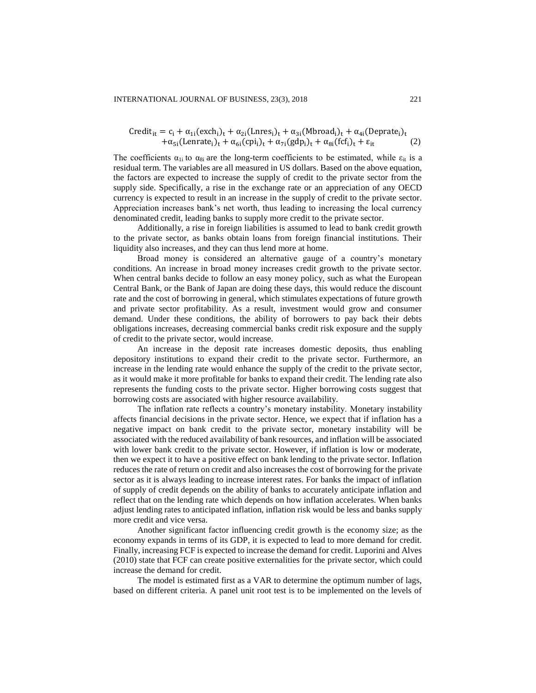$$
\text{Credit}_{it} = c_i + \alpha_{1i}(\text{exch}_i)_t + \alpha_{2i}(\text{Lnres}_i)_t + \alpha_{3i}(\text{Mbroad}_i)_t + \alpha_{4i}(\text{Deprate}_i)_t + \alpha_{5i}(\text{Lenrate}_i)_t + \alpha_{6i}(\text{cpi}_i)_t + \alpha_{7i}(\text{gdp}_i)_t + \alpha_{8i}(\text{fcf}_i)_t + \epsilon_{it}
$$
 (2)

The coefficients  $\alpha_{1i}$  to  $\alpha_{8i}$  are the long-term coefficients to be estimated, while  $\varepsilon_{it}$  is a residual term. The variables are all measured in US dollars. Based on the above equation, the factors are expected to increase the supply of credit to the private sector from the supply side. Specifically, a rise in the exchange rate or an appreciation of any OECD currency is expected to result in an increase in the supply of credit to the private sector. Appreciation increases bank's net worth, thus leading to increasing the local currency denominated credit, leading banks to supply more credit to the private sector.

Additionally, a rise in foreign liabilities is assumed to lead to bank credit growth to the private sector, as banks obtain loans from foreign financial institutions. Their liquidity also increases, and they can thus lend more at home.

Broad money is considered an alternative gauge of a country's monetary conditions. An increase in broad money increases credit growth to the private sector. When central banks decide to follow an easy money policy, such as what the European Central Bank, or the Bank of Japan are doing these days, this would reduce the discount rate and the cost of borrowing in general, which stimulates expectations of future growth and private sector profitability. As a result, investment would grow and consumer demand. Under these conditions, the ability of borrowers to pay back their debts obligations increases, decreasing commercial banks credit risk exposure and the supply of credit to the private sector, would increase.

An increase in the deposit rate increases domestic deposits, thus enabling depository institutions to expand their credit to the private sector. Furthermore, an increase in the lending rate would enhance the supply of the credit to the private sector, as it would make it more profitable for banks to expand their credit. The lending rate also represents the funding costs to the private sector. Higher borrowing costs suggest that borrowing costs are associated with higher resource availability.

The inflation rate reflects a country's monetary instability. Monetary instability affects financial decisions in the private sector. Hence, we expect that if inflation has a negative impact on bank credit to the private sector, monetary instability will be associated with the reduced availability of bank resources, and inflation will be associated with lower bank credit to the private sector. However, if inflation is low or moderate, then we expect it to have a positive effect on bank lending to the private sector. Inflation reduces the rate of return on credit and also increases the cost of borrowing for the private sector as it is always leading to increase interest rates. For banks the impact of inflation of supply of credit depends on the ability of banks to accurately anticipate inflation and reflect that on the lending rate which depends on how inflation accelerates. When banks adjust lending rates to anticipated inflation, inflation risk would be less and banks supply more credit and vice versa.

Another significant factor influencing credit growth is the economy size; as the economy expands in terms of its GDP, it is expected to lead to more demand for credit. Finally, increasing FCF is expected to increase the demand for credit. Luporini and Alves (2010) state that FCF can create positive externalities for the private sector, which could increase the demand for credit.

The model is estimated first as a VAR to determine the optimum number of lags, based on different criteria. A panel unit root test is to be implemented on the levels of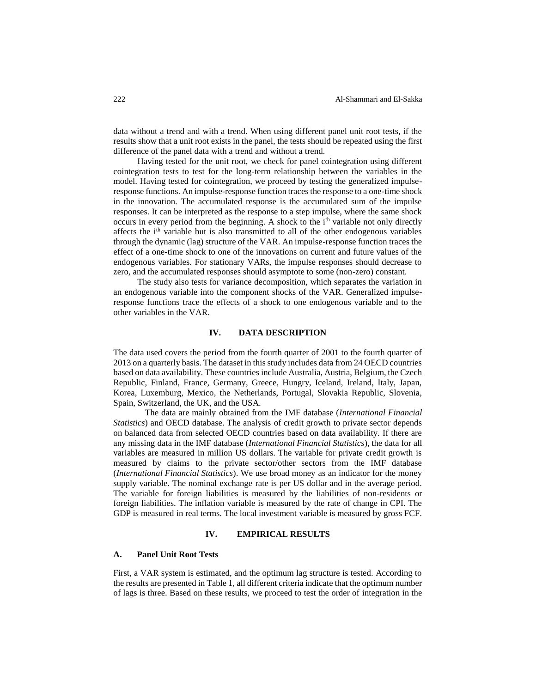data without a trend and with a trend. When using different panel unit root tests, if the results show that a unit root exists in the panel, the tests should be repeated using the first difference of the panel data with a trend and without a trend.

Having tested for the unit root, we check for panel cointegration using different cointegration tests to test for the long-term relationship between the variables in the model. Having tested for cointegration, we proceed by testing the generalized impulseresponse functions. An impulse-response function traces the response to a one-time shock in the innovation. The accumulated response is the accumulated sum of the impulse responses. It can be interpreted as the response to a step impulse, where the same shock occurs in every period from the beginning. A shock to the i<sup>th</sup> variable not only directly affects the i<sup>th</sup> variable but is also transmitted to all of the other endogenous variables through the dynamic (lag) structure of the VAR. An impulse-response function traces the effect of a one-time shock to one of the innovations on current and future values of the endogenous variables. For stationary VARs, the impulse responses should decrease to zero, and the accumulated responses should asymptote to some (non-zero) constant.

The study also tests for variance decomposition, which separates the variation in an endogenous variable into the component shocks of the VAR. Generalized impulseresponse functions trace the effects of a shock to one endogenous variable and to the other variables in the VAR.

## **IV. DATA DESCRIPTION**

The data used covers the period from the fourth quarter of 2001 to the fourth quarter of 2013 on a quarterly basis. The dataset in this study includes data from 24 OECD countries based on data availability. These countries include Australia, Austria, Belgium, the Czech Republic, Finland, France, Germany, Greece, Hungry, Iceland, Ireland, Italy, Japan, Korea, Luxemburg, Mexico, the Netherlands, Portugal, Slovakia Republic, Slovenia, Spain, Switzerland, the UK, and the USA.

The data are mainly obtained from the IMF database (*International Financial Statistics*) and OECD database. The analysis of credit growth to private sector depends on balanced data from selected OECD countries based on data availability. If there are any missing data in the IMF database (*International Financial Statistics*), the data for all variables are measured in million US dollars. The variable for private credit growth is measured by claims to the private sector/other sectors from the IMF database (*International Financial Statistics*). We use broad money as an indicator for the money supply variable. The nominal exchange rate is per US dollar and in the average period. The variable for foreign liabilities is measured by the liabilities of non-residents or foreign liabilities. The inflation variable is measured by the rate of change in CPI. The GDP is measured in real terms. The local investment variable is measured by gross FCF*.* 

## **IV. EMPIRICAL RESULTS**

#### **A. Panel Unit Root Tests**

First, a VAR system is estimated, and the optimum lag structure is tested. According to the results are presented in Table 1, all different criteria indicate that the optimum number of lags is three. Based on these results, we proceed to test the order of integration in the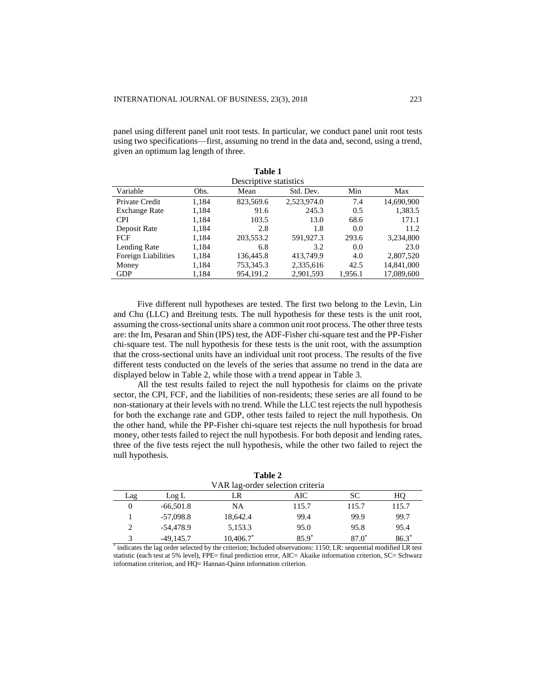panel using different panel unit root tests. In particular, we conduct panel unit root tests using two specifications—first, assuming no trend in the data and, second, using a trend, given an optimum lag length of three.

**Table 1**

|                      |       | таніс І                |             |         |            |
|----------------------|-------|------------------------|-------------|---------|------------|
|                      |       | Descriptive statistics |             |         |            |
| Variable             | Obs.  | Mean                   | Std. Dev.   | Min     | Max        |
| Private Credit       | 1,184 | 823,569.6              | 2,523,974.0 | 7.4     | 14,690,900 |
| <b>Exchange Rate</b> | 1,184 | 91.6                   | 245.3       | 0.5     | 1,383.5    |
| <b>CPI</b>           | 1,184 | 103.5                  | 13.0        | 68.6    | 171.1      |
| Deposit Rate         | 1,184 | 2.8                    | 1.8         | 0.0     | 11.2       |
| <b>FCF</b>           | 1,184 | 203,553.2              | 591,927.3   | 293.6   | 3,234,800  |
| Lending Rate         | 1,184 | 6.8                    | 3.2         | 0.0     | 23.0       |
| Foreign Liabilities  | 1,184 | 136,445.8              | 413,749.9   | 4.0     | 2,807,520  |
| Money                | 1,184 | 753,345.3              | 2,335,616   | 42.5    | 14,841,000 |
| <b>GDP</b>           | 1,184 | 954,191.2              | 2,901,593   | 1,956.1 | 17,089,600 |

Five different null hypotheses are tested. The first two belong to the Levin, Lin and Chu (LLC) and Breitung tests. The null hypothesis for these tests is the unit root, assuming the cross-sectional units share a common unit root process. The other three tests are: the Im, Pesaran and Shin (IPS) test, the ADF-Fisher chi-square test and the PP-Fisher chi-square test. The null hypothesis for these tests is the unit root, with the assumption that the cross-sectional units have an individual unit root process. The results of the five different tests conducted on the levels of the series that assume no trend in the data are displayed below in Table 2, while those with a trend appear in Table 3.

All the test results failed to reject the null hypothesis for claims on the private sector, the CPI, FCF, and the liabilities of non-residents; these series are all found to be non-stationary at their levels with no trend. While the LLC test rejects the null hypothesis for both the exchange rate and GDP, other tests failed to reject the null hypothesis. On the other hand, while the PP-Fisher chi-square test rejects the null hypothesis for broad money, other tests failed to reject the null hypothesis. For both deposit and lending rates, three of the five tests reject the null hypothesis, while the other two failed to reject the null hypothesis.

|               |             | VAR lag-order selection criteria |         |         |         |
|---------------|-------------|----------------------------------|---------|---------|---------|
| Lag           | Log L       | LR                               | AIC     | SС      | HO      |
|               | $-66,501.8$ | NA                               | 115.7   | 115.7   | 115.7   |
|               | $-57,098.8$ | 18,642.4                         | 99.4    | 99.9    | 99.7    |
|               | -54,478.9   | 5,153.3                          | 95.0    | 95.8    | 95.4    |
| $\mathcal{R}$ | $-49.145.7$ | $10,406.7^*$                     | $85.9*$ | $87.0*$ | $86.3*$ |

**Table 2**

\* indicates the lag order selected by the criterion; Included observations: 1150; LR: sequential modified LR test statistic (each test at 5% level), FPE= final prediction error, AIC= Akaike information criterion, SC= Schwarz information criterion, and HQ= Hannan-Quinn information criterion.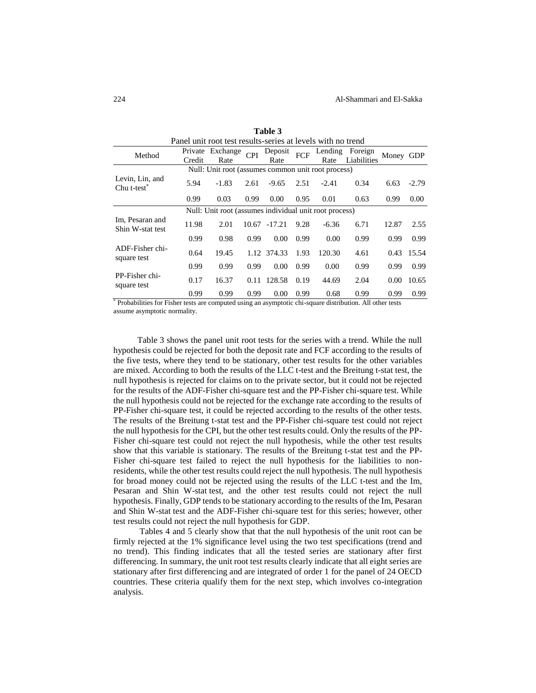|                                      | Panel unit root test results-series at levels with no trend |                                                        |            |                 |            |                 |                        |       |            |
|--------------------------------------|-------------------------------------------------------------|--------------------------------------------------------|------------|-----------------|------------|-----------------|------------------------|-------|------------|
| Method                               | Private<br>Credit                                           | Exchange<br>Rate                                       | <b>CPI</b> | Deposit<br>Rate | <b>FCF</b> | Lending<br>Rate | Foreign<br>Liabilities | Money | <b>GDP</b> |
|                                      |                                                             | Null: Unit root (assumes common unit root process)     |            |                 |            |                 |                        |       |            |
| Levin, Lin, and<br>Chu $t$ -test $*$ | 5.94                                                        | $-1.83$                                                | 2.61       | $-9.65$         | 2.51       | $-2.41$         | 0.34                   | 6.63  | $-2.79$    |
|                                      | 0.99                                                        | 0.03                                                   | 0.99       | 0.00            | 0.95       | 0.01            | 0.63                   | 0.99  | 0.00       |
|                                      |                                                             | Null: Unit root (assumes individual unit root process) |            |                 |            |                 |                        |       |            |
| Im, Pesaran and<br>Shin W-stat test  | 11.98                                                       | 2.01                                                   | 10.67      | $-17.21$        | 9.28       | $-6.36$         | 6.71                   | 12.87 | 2.55       |
|                                      | 0.99                                                        | 0.98                                                   | 0.99       | 0.00            | 0.99       | 0.00            | 0.99                   | 0.99  | 0.99       |
| ADF-Fisher chi-<br>square test       | 0.64                                                        | 19.45                                                  |            | 1.12 374.33     | 1.93       | 120.30          | 4.61                   | 0.43  | 15.54      |
|                                      | 0.99                                                        | 0.99                                                   | 0.99       | 0.00            | 0.99       | 0.00            | 0.99                   | 0.99  | 0.99       |
| PP-Fisher chi-<br>square test        | 0.17                                                        | 16.37                                                  | 0.11       | 128.58          | 0.19       | 44.69           | 2.04                   | 0.00  | 10.65      |
| .                                    | 0.99                                                        | 0.99                                                   | 0.99       | 0.00            | 0.99       | 0.68            | 0.99                   | 0.99  | 0.99       |

**Table 3**

\* Probabilities for Fisher tests are computed using an asymptotic chi-square distribution. All other tests assume asymptotic normality.

Table 3 shows the panel unit root tests for the series with a trend. While the null hypothesis could be rejected for both the deposit rate and FCF according to the results of the five tests, where they tend to be stationary, other test results for the other variables are mixed. According to both the results of the LLC t-test and the Breitung t-stat test, the null hypothesis is rejected for claims on to the private sector, but it could not be rejected for the results of the ADF-Fisher chi-square test and the PP-Fisher chi-square test. While the null hypothesis could not be rejected for the exchange rate according to the results of PP-Fisher chi-square test, it could be rejected according to the results of the other tests. The results of the Breitung t-stat test and the PP-Fisher chi-square test could not reject the null hypothesis for the CPI, but the other test results could. Only the results of the PP-Fisher chi-square test could not reject the null hypothesis, while the other test results show that this variable is stationary. The results of the Breitung t-stat test and the PP-Fisher chi-square test failed to reject the null hypothesis for the liabilities to nonresidents, while the other test results could reject the null hypothesis. The null hypothesis for broad money could not be rejected using the results of the LLC t-test and the Im, Pesaran and Shin W-stat test, and the other test results could not reject the null hypothesis. Finally, GDP tends to be stationary according to the results of the Im, Pesaran and Shin W-stat test and the ADF-Fisher chi-square test for this series; however, other test results could not reject the null hypothesis for GDP.

Tables 4 and 5 clearly show that that the null hypothesis of the unit root can be firmly rejected at the 1% significance level using the two test specifications (trend and no trend). This finding indicates that all the tested series are stationary after first differencing. In summary, the unit root test results clearly indicate that all eight series are stationary after first differencing and are integrated of order 1 for the panel of 24 OECD countries. These criteria qualify them for the next step, which involves co-integration analysis.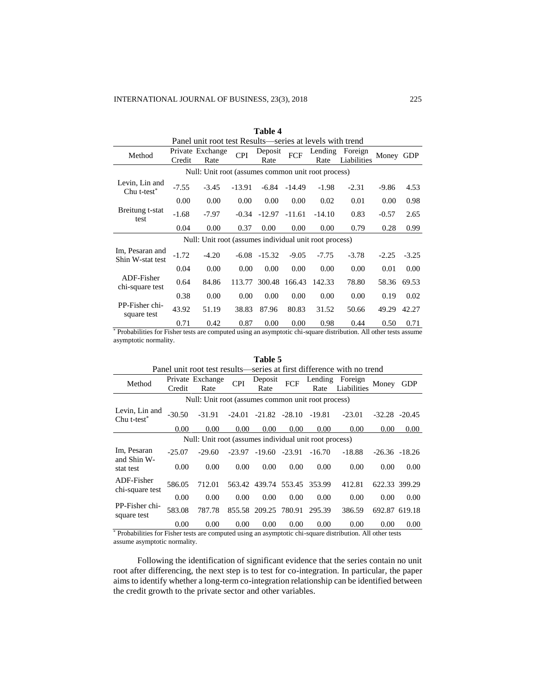|                                     |         | Panel unit root test Results—series at levels with trend |            |                 |          |                 |                        |         |            |
|-------------------------------------|---------|----------------------------------------------------------|------------|-----------------|----------|-----------------|------------------------|---------|------------|
| Method                              | Credit  | Private Exchange<br>Rate                                 | <b>CPI</b> | Deposit<br>Rate | FCF      | Lending<br>Rate | Foreign<br>Liabilities | Money   | <b>GDP</b> |
|                                     |         | Null: Unit root (assumes common unit root process)       |            |                 |          |                 |                        |         |            |
| Levin, Lin and<br>Chu $t$ -test $*$ | $-7.55$ | $-3.45$                                                  | $-13.91$   | -6.84           | $-14.49$ | $-1.98$         | $-2.31$                | $-9.86$ | 4.53       |
|                                     | 0.00    | 0.00                                                     | 0.00       | 0.00            | 0.00     | 0.02            | 0.01                   | 0.00    | 0.98       |
| Breitung t-stat<br>test             | $-1.68$ | $-7.97$                                                  | $-0.34$    | $-12.97$        | $-11.61$ | $-14.10$        | 0.83                   | $-0.57$ | 2.65       |
|                                     | 0.04    | 0.00                                                     | 0.37       | 0.00            | 0.00     | 0.00            | 0.79                   | 0.28    | 0.99       |
|                                     |         | Null: Unit root (assumes individual unit root process)   |            |                 |          |                 |                        |         |            |
| Im, Pesaran and<br>Shin W-stat test | $-1.72$ | $-4.20$                                                  | $-6.08$    | $-15.32$        | $-9.05$  | $-7.75$         | $-3.78$                | $-2.25$ | $-3.25$    |
|                                     | 0.04    | 0.00                                                     | 0.00       | 0.00            | 0.00     | 0.00            | 0.00                   | 0.01    | 0.00       |
| ADF-Fisher<br>chi-square test       | 0.64    | 84.86                                                    | 113.77     | 300.48 166.43   |          | 142.33          | 78.80                  | 58.36   | 69.53      |
|                                     | 0.38    | 0.00                                                     | 0.00       | 0.00            | 0.00     | 0.00            | 0.00                   | 0.19    | 0.02       |
| PP-Fisher chi-<br>square test       | 43.92   | 51.19                                                    | 38.83      | 87.96           | 80.83    | 31.52           | 50.66                  | 49.29   | 42.27      |
|                                     | 0.71    | 0.42                                                     | 0.87       | 0.00            | 0.00     | 0.98            | 0.44                   | 0.50    | 0.71       |

**Table 4**

\* Probabilities for Fisher tests are computed using an asymptotic chi-square distribution. All other tests assume asymptotic normality.

|                               |          |                                                        |            | Table 5              |            |          |                                                                       |                   |                  |
|-------------------------------|----------|--------------------------------------------------------|------------|----------------------|------------|----------|-----------------------------------------------------------------------|-------------------|------------------|
|                               |          |                                                        |            |                      |            |          | Panel unit root test results—series at first difference with no trend |                   |                  |
| Method                        |          | Private Exchange                                       | <b>CPI</b> | Deposit              | <b>FCF</b> |          | Lending Foreign                                                       | Money             | <b>GDP</b>       |
|                               | Credit   | Rate                                                   |            | Rate                 |            | Rate     | Liabilities                                                           |                   |                  |
|                               |          | Null: Unit root (assumes common unit root process)     |            |                      |            |          |                                                                       |                   |                  |
| Levin, Lin and<br>Chu t-test* | $-30.50$ | $-31.91$                                               | $-24.01$   | $-21.82$ $-28.10$    |            | -19.81   | $-23.01$                                                              | $-32.28$ $-20.45$ |                  |
|                               | 0.00     | 0.00                                                   | 0.00       | 0.00                 | 0.00       | 0.00     | 0.00                                                                  | 0.00              | 0.00             |
|                               |          | Null: Unit root (assumes individual unit root process) |            |                      |            |          |                                                                       |                   |                  |
| Im, Pesaran<br>and Shin W-    | $-25.07$ | $-29.60$                                               | $-23.97$   | $-19.60 - 23.91$     |            | $-16.70$ | $-18.88$                                                              |                   | $-26.36 - 18.26$ |
| stat test                     | 0.00     | 0.00                                                   | 0.00       | 0.00                 | 0.00       | 0.00     | 0.00                                                                  | 0.00              | 0.00             |
| ADF-Fisher<br>chi-square test | 586.05   | 712.01                                                 |            | 563.42 439.74 553.45 |            | 353.99   | 412.81                                                                | 622.33 399.29     |                  |
|                               | 0.00     | 0.00                                                   | 0.00       | 0.00                 | 0.00       | 0.00     | 0.00                                                                  | 0.00              | 0.00             |
| PP-Fisher chi-<br>square test | 583.08   | 787.78                                                 |            | 855.58 209.25 780.91 |            | 295.39   | 386.59                                                                | 692.87 619.18     |                  |
|                               | 0.00     | 0.00                                                   | 0.00       | 0.00                 | 0.00       | 0.00     | 0.00                                                                  | 0.00              | 0.00             |

\* Probabilities for Fisher tests are computed using an asymptotic chi-square distribution. All other tests assume asymptotic normality.

Following the identification of significant evidence that the series contain no unit root after differencing, the next step is to test for co-integration. In particular, the paper aims to identify whether a long-term co-integration relationship can be identified between the credit growth to the private sector and other variables.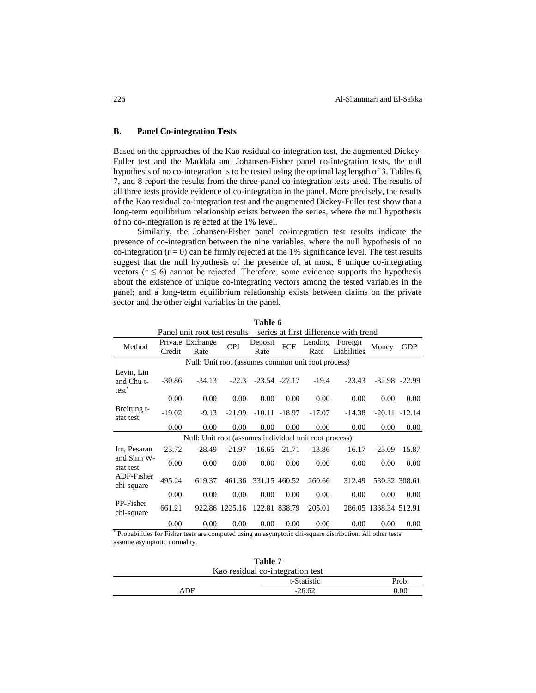### **B. Panel Co-integration Tests**

Based on the approaches of the Kao residual co-integration test, the augmented Dickey-Fuller test and the Maddala and Johansen-Fisher panel co-integration tests, the null hypothesis of no co-integration is to be tested using the optimal lag length of 3. Tables 6, 7, and 8 report the results from the three-panel co-integration tests used. The results of all three tests provide evidence of co-integration in the panel. More precisely, the results of the Kao residual co-integration test and the augmented Dickey-Fuller test show that a long-term equilibrium relationship exists between the series, where the null hypothesis of no co-integration is rejected at the 1% level.

Similarly, the Johansen-Fisher panel co-integration test results indicate the presence of co-integration between the nine variables, where the null hypothesis of no co-integration  $(r = 0)$  can be firmly rejected at the 1% significance level. The test results suggest that the null hypothesis of the presence of, at most, 6 unique co-integrating vectors ( $r \le 6$ ) cannot be rejected. Therefore, some evidence supports the hypothesis about the existence of unique co-integrating vectors among the tested variables in the panel; and a long-term equilibrium relationship exists between claims on the private sector and the other eight variables in the panel.

|                                      |          |                                                        |                |                 |                   |                 | Panel unit root test results—series at first difference with trend |                       |                   |
|--------------------------------------|----------|--------------------------------------------------------|----------------|-----------------|-------------------|-----------------|--------------------------------------------------------------------|-----------------------|-------------------|
| Method                               | Credit   | Private Exchange<br>Rate                               | <b>CPI</b>     | Deposit<br>Rate | <b>FCF</b>        | Lending<br>Rate | Foreign<br>Liabilities                                             | Money                 | <b>GDP</b>        |
|                                      |          | Null: Unit root (assumes common unit root process)     |                |                 |                   |                 |                                                                    |                       |                   |
| Levin, Lin<br>and Chu t-<br>$test^*$ | $-30.86$ | $-34.13$                                               | $-22.3$        |                 | $-23.54$ $-27.17$ | $-19.4$         | $-23.43$                                                           |                       | $-32.98$ $-22.99$ |
|                                      | 0.00     | 0.00                                                   | 0.00           | 0.00            | 0.00              | 0.00            | 0.00                                                               | 0.00                  | 0.00              |
| Breitung t-<br>stat test             | $-19.02$ | $-9.13$                                                | $-21.99$       |                 | $-10.11 - 18.97$  | $-17.07$        | $-14.38$                                                           |                       | $-20.11 - 12.14$  |
|                                      | 0.00     | 0.00                                                   | 0.00           | 0.00            | 0.00              | 0.00            | 0.00                                                               | 0.00                  | 0.00              |
|                                      |          | Null: Unit root (assumes individual unit root process) |                |                 |                   |                 |                                                                    |                       |                   |
| Im, Pesaran                          | $-23.72$ | $-28.49$                                               | $-21.97$       |                 | $-16.65 - 21.71$  | $-13.86$        | $-16.17$                                                           |                       | $-25.09$ $-15.87$ |
| and Shin W-<br>stat test             | 0.00     | 0.00                                                   | 0.00           | 0.00            | 0.00              | 0.00            | 0.00                                                               | 0.00                  | 0.00              |
| ADF-Fisher<br>chi-square             | 495.24   | 619.37                                                 | 461.36         | 331.15 460.52   |                   | 260.66          | 312.49                                                             | 530.32 308.61         |                   |
|                                      | 0.00     | 0.00                                                   | 0.00           | 0.00            | 0.00              | 0.00            | 0.00                                                               | 0.00                  | 0.00              |
| PP-Fisher<br>chi-square              | 661.21   |                                                        | 922.86 1225.16 |                 | 122.81 838.79     | 205.01          |                                                                    | 286.05 1338.34 512.91 |                   |
|                                      | 0.00     | 0.00                                                   | 0.00           | 0.00            | 0.00              | 0.00            | 0.00                                                               | 0.00                  | 0.00              |

**Table 6**

\* Probabilities for Fisher tests are computed using an asymptotic chi-square distribution. All other tests assume asymptotic normality.

|     | Table 7                          |       |
|-----|----------------------------------|-------|
|     | Kao residual co-integration test |       |
|     | t-Statistic                      | Prob. |
| ADF | $-26.62$                         | 0.00  |
|     |                                  |       |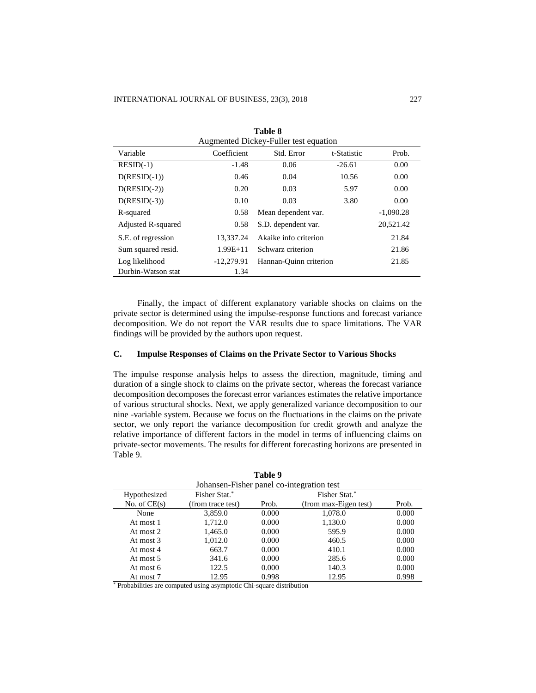|                    |              | Augmented Dickey-Fuller test equation |             |             |
|--------------------|--------------|---------------------------------------|-------------|-------------|
| Variable           | Coefficient  | Std. Error                            | t-Statistic | Prob.       |
| $RESID(-1)$        | $-1.48$      | 0.06                                  | $-26.61$    | 0.00        |
| $D(RESID(-1))$     | 0.46         | 0.04                                  | 10.56       | 0.00        |
| $D(RESID(-2))$     | 0.20         | 0.03                                  | 5.97        | 0.00        |
| $D(RESID(-3))$     | 0.10         | 0.03                                  | 3.80        | 0.00        |
| R-squared          | 0.58         | Mean dependent var.                   |             | $-1,090.28$ |
| Adjusted R-squared | 0.58         | S.D. dependent var.                   |             | 20,521.42   |
| S.E. of regression | 13,337.24    | Akaike info criterion                 |             | 21.84       |
| Sum squared resid. | $1.99E + 11$ | Schwarz criterion                     |             | 21.86       |
| Log likelihood     | $-12,279.91$ | Hannan-Quinn criterion                |             | 21.85       |
| Durbin-Watson stat | 1.34         |                                       |             |             |

**Table 8**

Finally, the impact of different explanatory variable shocks on claims on the private sector is determined using the impulse-response functions and forecast variance decomposition. We do not report the VAR results due to space limitations. The VAR findings will be provided by the authors upon request.

## **C. Impulse Responses of Claims on the Private Sector to Various Shocks**

The impulse response analysis helps to assess the direction, magnitude, timing and duration of a single shock to claims on the private sector, whereas the forecast variance decomposition decomposes the forecast error variances estimates the relative importance of various structural shocks. Next, we apply generalized variance decomposition to our nine -variable system. Because we focus on the fluctuations in the claims on the private sector, we only report the variance decomposition for credit growth and analyze the relative importance of different factors in the model in terms of influencing claims on private-sector movements. The results for different forecasting horizons are presented in Table 9.

|                | Johansen-Fisher panel co-integration test |       |                       |       |
|----------------|-------------------------------------------|-------|-----------------------|-------|
| Hypothesized   | Fisher Stat.*                             |       | Fisher Stat.*         |       |
| No. of $CE(s)$ | (from trace test)                         | Prob. | (from max-Eigen test) | Prob. |
| None           | 3,859.0                                   | 0.000 | 1,078.0               | 0.000 |
| At most 1      | 1,712.0                                   | 0.000 | 1,130.0               | 0.000 |
| At most 2      | 1,465.0                                   | 0.000 | 595.9                 | 0.000 |
| At most 3      | 1,012.0                                   | 0.000 | 460.5                 | 0.000 |
| At most 4      | 663.7                                     | 0.000 | 410.1                 | 0.000 |
| At most 5      | 341.6                                     | 0.000 | 285.6                 | 0.000 |
| At most 6      | 122.5                                     | 0.000 | 140.3                 | 0.000 |
| At most 7      | 12.95                                     | 0.998 | 12.95                 | 0.998 |

| Table |  |  |  |  |  |  |  |  |  |  |  |  |  |  |  |  |  |  |  |  |  |  |  |  |  |  |  |  |  |  |  |  |  |  |  |  |  |  |  |  |  |  |  |  |  |  |  |  |  |  |  |  |  |  |  |  |  |  |  |  |  |  |  |  |  |  |  |  |  |  |  |  |  |  |  |  |  |  |  |  |  |  |  |  |  |  |  |  |  |  |  |  |  |  |  |  |  |  |  |  |  |  |  |  |  |  |  |  |  |  |  |  |  |  |  |  |  |  |  |  |  |  |  |  |  |  |  |  |  |  |  |  |  |  |  |  |  |  |  |  |  |  |  |  |  |  |
|-------|--|--|--|--|--|--|--|--|--|--|--|--|--|--|--|--|--|--|--|--|--|--|--|--|--|--|--|--|--|--|--|--|--|--|--|--|--|--|--|--|--|--|--|--|--|--|--|--|--|--|--|--|--|--|--|--|--|--|--|--|--|--|--|--|--|--|--|--|--|--|--|--|--|--|--|--|--|--|--|--|--|--|--|--|--|--|--|--|--|--|--|--|--|--|--|--|--|--|--|--|--|--|--|--|--|--|--|--|--|--|--|--|--|--|--|--|--|--|--|--|--|--|--|--|--|--|--|--|--|--|--|--|--|--|--|--|--|--|--|--|--|--|--|--|--|--|
|-------|--|--|--|--|--|--|--|--|--|--|--|--|--|--|--|--|--|--|--|--|--|--|--|--|--|--|--|--|--|--|--|--|--|--|--|--|--|--|--|--|--|--|--|--|--|--|--|--|--|--|--|--|--|--|--|--|--|--|--|--|--|--|--|--|--|--|--|--|--|--|--|--|--|--|--|--|--|--|--|--|--|--|--|--|--|--|--|--|--|--|--|--|--|--|--|--|--|--|--|--|--|--|--|--|--|--|--|--|--|--|--|--|--|--|--|--|--|--|--|--|--|--|--|--|--|--|--|--|--|--|--|--|--|--|--|--|--|--|--|--|--|--|--|--|--|--|

\* Probabilities are computed using asymptotic Chi-square distribution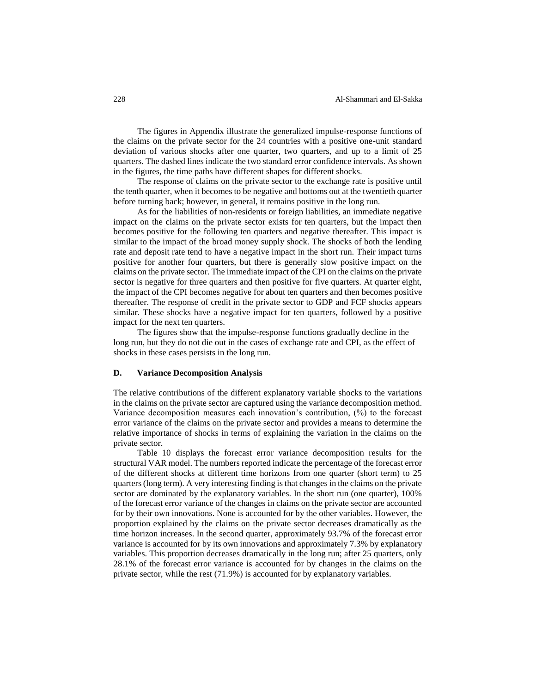The figures in Appendix illustrate the generalized impulse-response functions of the claims on the private sector for the 24 countries with a positive one-unit standard deviation of various shocks after one quarter, two quarters, and up to a limit of 25 quarters. The dashed lines indicate the two standard error confidence intervals. As shown in the figures, the time paths have different shapes for different shocks.

The response of claims on the private sector to the exchange rate is positive until the tenth quarter, when it becomes to be negative and bottoms out at the twentieth quarter before turning back; however, in general, it remains positive in the long run.

As for the liabilities of non-residents or foreign liabilities, an immediate negative impact on the claims on the private sector exists for ten quarters, but the impact then becomes positive for the following ten quarters and negative thereafter. This impact is similar to the impact of the broad money supply shock. The shocks of both the lending rate and deposit rate tend to have a negative impact in the short run. Their impact turns positive for another four quarters, but there is generally slow positive impact on the claims on the private sector. The immediate impact of the CPI on the claims on the private sector is negative for three quarters and then positive for five quarters. At quarter eight, the impact of the CPI becomes negative for about ten quarters and then becomes positive thereafter. The response of credit in the private sector to GDP and FCF shocks appears similar. These shocks have a negative impact for ten quarters, followed by a positive impact for the next ten quarters.

The figures show that the impulse-response functions gradually decline in the long run, but they do not die out in the cases of exchange rate and CPI, as the effect of shocks in these cases persists in the long run.

## **D. Variance Decomposition Analysis**

The relative contributions of the different explanatory variable shocks to the variations in the claims on the private sector are captured using the variance decomposition method. Variance decomposition measures each innovation's contribution, (%) to the forecast error variance of the claims on the private sector and provides a means to determine the relative importance of shocks in terms of explaining the variation in the claims on the private sector.

Table 10 displays the forecast error variance decomposition results for the structural VAR model. The numbers reported indicate the percentage of the forecast error of the different shocks at different time horizons from one quarter (short term) to 25 quarters (long term). A very interesting finding is that changes in the claims on the private sector are dominated by the explanatory variables. In the short run (one quarter), 100% of the forecast error variance of the changes in claims on the private sector are accounted for by their own innovations. None is accounted for by the other variables. However, the proportion explained by the claims on the private sector decreases dramatically as the time horizon increases. In the second quarter, approximately 93.7% of the forecast error variance is accounted for by its own innovations and approximately 7.3% by explanatory variables. This proportion decreases dramatically in the long run; after 25 quarters, only 28.1% of the forecast error variance is accounted for by changes in the claims on the private sector, while the rest (71.9%) is accounted for by explanatory variables.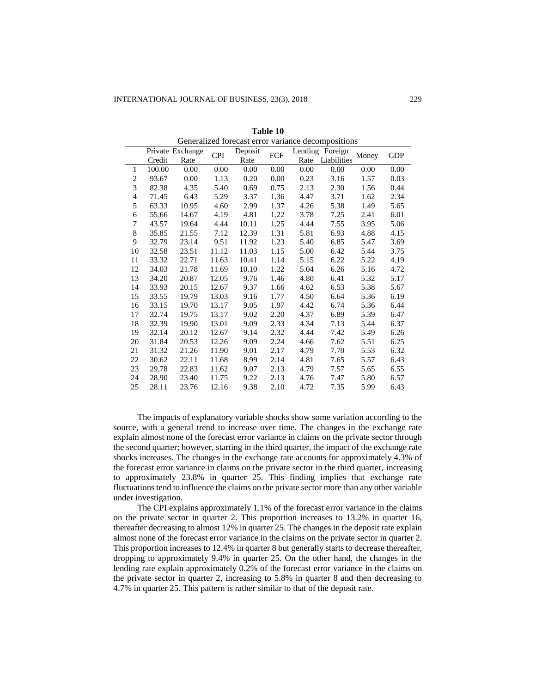|                |        |                          |            |                 |          |      | Ocheranzed forecast error variance decompositions |       |            |
|----------------|--------|--------------------------|------------|-----------------|----------|------|---------------------------------------------------|-------|------------|
|                | Credit | Private Exchange<br>Rate | <b>CPI</b> | Deposit<br>Rate | FCF      | Rate | Lending Foreign<br>Liabilities                    | Money | <b>GDP</b> |
| 1              | 100.00 | 0.00                     | 0.00       | 0.00            | $0.00\,$ | 0.00 | 0.00                                              | 0.00  | 0.00       |
| $\overline{c}$ | 93.67  | 0.00                     | 1.13       | 0.20            | 0.00     | 0.23 | 3.16                                              | 1.57  | 0.03       |
| 3              | 82.38  | 4.35                     | 5.40       | 0.69            | 0.75     | 2.13 | 2.30                                              | 1.56  | 0.44       |
| 4              | 71.45  | 6.43                     | 5.29       | 3.37            | 1.36     | 4.47 | 3.71                                              | 1.62  | 2.34       |
| 5              | 63.33  | 10.95                    | 4.60       | 2.99            | 1.37     | 4.26 | 5.38                                              | 1.49  | 5.65       |
| 6              | 55.66  | 14.67                    | 4.19       | 4.81            | 1.22     | 3.78 | 7.25                                              | 2.41  | 6.01       |
| 7              | 43.57  | 19.64                    | 4.44       | 10.11           | 1.25     | 4.44 | 7.55                                              | 3.95  | 5.06       |
| 8              | 35.85  | 21.55                    | 7.12       | 12.39           | 1.31     | 5.81 | 6.93                                              | 4.88  | 4.15       |
| 9              | 32.79  | 23.14                    | 9.51       | 11.92           | 1.23     | 5.40 | 6.85                                              | 5.47  | 3.69       |
| 10             | 32.58  | 23.51                    | 11.12      | 11.03           | 1.15     | 5.00 | 6.42                                              | 5.44  | 3.75       |
| 11             | 33.32  | 22.71                    | 11.63      | 10.41           | 1.14     | 5.15 | 6.22                                              | 5.22  | 4.19       |
| 12             | 34.03  | 21.78                    | 11.69      | 10.10           | 1.22     | 5.04 | 6.26                                              | 5.16  | 4.72       |
| 13             | 34.20  | 20.87                    | 12.05      | 9.76            | 1.46     | 4.80 | 6.41                                              | 5.32  | 5.17       |
| 14             | 33.93  | 20.15                    | 12.67      | 9.37            | 1.66     | 4.62 | 6.53                                              | 5.38  | 5.67       |
| 15             | 33.55  | 19.79                    | 13.03      | 9.16            | 1.77     | 4.50 | 6.64                                              | 5.36  | 6.19       |
| 16             | 33.15  | 19.70                    | 13.17      | 9.05            | 1.97     | 4.42 | 6.74                                              | 5.36  | 6.44       |
| 17             | 32.74  | 19.75                    | 13.17      | 9.02            | 2.20     | 4.37 | 6.89                                              | 5.39  | 6.47       |
| 18             | 32.39  | 19.90                    | 13.01      | 9.09            | 2.33     | 4.34 | 7.13                                              | 5.44  | 6.37       |
| 19             | 32.14  | 20.12                    | 12.67      | 9.14            | 2.32     | 4.44 | 7.42                                              | 5.49  | 6.26       |
| 20             | 31.84  | 20.53                    | 12.26      | 9.09            | 2.24     | 4.66 | 7.62                                              | 5.51  | 6.25       |
| 21             | 31.32  | 21.26                    | 11.90      | 9.01            | 2.17     | 4.79 | 7.70                                              | 5.53  | 6.32       |
| 22             | 30.62  | 22.11                    | 11.68      | 8.99            | 2.14     | 4.81 | 7.65                                              | 5.57  | 6.43       |
| 23             | 29.78  | 22.83                    | 11.62      | 9.07            | 2.13     | 4.79 | 7.57                                              | 5.65  | 6.55       |
| 24             | 28.90  | 23.40                    | 11.75      | 9.22            | 2.13     | 4.76 | 7.47                                              | 5.80  | 6.57       |
| 25             | 28.11  | 23.76                    | 12.16      | 9.38            | 2.10     | 4.72 | 7.35                                              | 5.99  | 6.43       |

**Table 10** Generalized forecast error variance decompositions

The impacts of explanatory variable shocks show some variation according to the source, with a general trend to increase over time. The changes in the exchange rate explain almost none of the forecast error variance in claims on the private sector through the second quarter; however, starting in the third quarter, the impact of the exchange rate shocks increases. The changes in the exchange rate accounts for approximately 4.3% of the forecast error variance in claims on the private sector in the third quarter, increasing to approximately 23.8% in quarter 25. This finding implies that exchange rate fluctuations tend to influence the claims on the private sector more than any other variable under investigation.

The CPI explains approximately 1.1% of the forecast error variance in the claims on the private sector in quarter 2. This proportion increases to 13.2% in quarter 16, thereafter decreasing to almost 12% in quarter 25. The changes in the deposit rate explain almost none of the forecast error variance in the claims on the private sector in quarter 2. This proportion increases to 12.4% in quarter 8 but generally starts to decrease thereafter, dropping to approximately 9.4% in quarter 25. On the other hand, the changes in the lending rate explain approximately 0.2% of the forecast error variance in the claims on the private sector in quarter 2, increasing to 5.8% in quarter 8 and then decreasing to 4.7% in quarter 25. This pattern is rather similar to that of the deposit rate.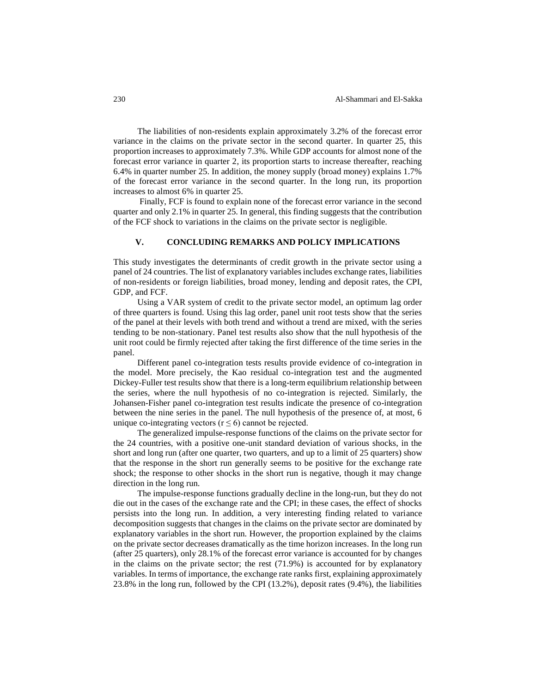230 Al-Shammari and El-Sakka

The liabilities of non-residents explain approximately 3.2% of the forecast error variance in the claims on the private sector in the second quarter. In quarter 25, this proportion increases to approximately 7.3%. While GDP accounts for almost none of the forecast error variance in quarter 2, its proportion starts to increase thereafter, reaching 6.4% in quarter number 25. In addition, the money supply (broad money) explains 1.7% of the forecast error variance in the second quarter. In the long run, its proportion increases to almost 6% in quarter 25.

Finally, FCF is found to explain none of the forecast error variance in the second quarter and only 2.1% in quarter 25. In general, this finding suggests that the contribution of the FCF shock to variations in the claims on the private sector is negligible.

## **V. CONCLUDING REMARKS AND POLICY IMPLICATIONS**

This study investigates the determinants of credit growth in the private sector using a panel of 24 countries. The list of explanatory variables includes exchange rates, liabilities of non-residents or foreign liabilities, broad money, lending and deposit rates, the CPI, GDP, and FCF.

Using a VAR system of credit to the private sector model, an optimum lag order of three quarters is found. Using this lag order, panel unit root tests show that the series of the panel at their levels with both trend and without a trend are mixed, with the series tending to be non-stationary. Panel test results also show that the null hypothesis of the unit root could be firmly rejected after taking the first difference of the time series in the panel.

Different panel co-integration tests results provide evidence of co-integration in the model. More precisely, the Kao residual co-integration test and the augmented Dickey-Fuller test results show that there is a long-term equilibrium relationship between the series, where the null hypothesis of no co-integration is rejected. Similarly, the Johansen-Fisher panel co-integration test results indicate the presence of co-integration between the nine series in the panel. The null hypothesis of the presence of, at most, 6 unique co-integrating vectors ( $r \le 6$ ) cannot be rejected.

The generalized impulse-response functions of the claims on the private sector for the 24 countries, with a positive one-unit standard deviation of various shocks, in the short and long run (after one quarter, two quarters, and up to a limit of 25 quarters) show that the response in the short run generally seems to be positive for the exchange rate shock; the response to other shocks in the short run is negative, though it may change direction in the long run.

The impulse-response functions gradually decline in the long-run, but they do not die out in the cases of the exchange rate and the CPI; in these cases, the effect of shocks persists into the long run. In addition, a very interesting finding related to variance decomposition suggests that changes in the claims on the private sector are dominated by explanatory variables in the short run. However, the proportion explained by the claims on the private sector decreases dramatically as the time horizon increases. In the long run (after 25 quarters), only 28.1% of the forecast error variance is accounted for by changes in the claims on the private sector; the rest  $(71.9%)$  is accounted for by explanatory variables. In terms of importance, the exchange rate ranks first, explaining approximately 23.8% in the long run, followed by the CPI (13.2%), deposit rates (9.4%), the liabilities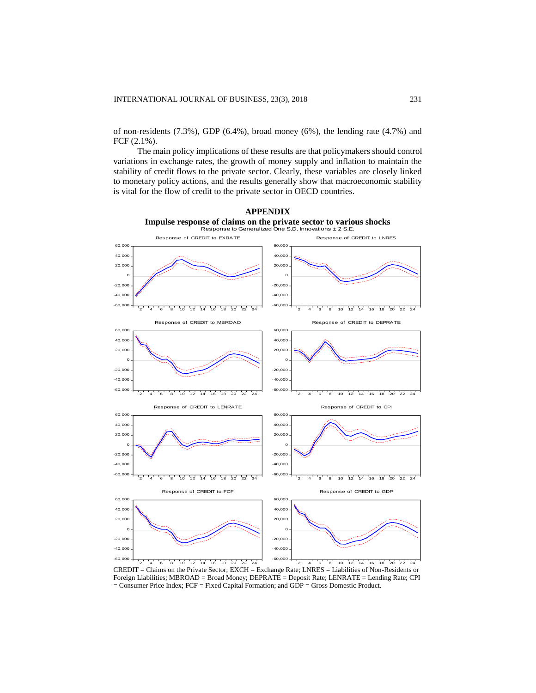of non-residents  $(7.3\%)$ , GDP  $(6.4\%)$ , broad money  $(6\%)$ , the lending rate  $(4.7\%)$  and FCF (2.1%).

The main policy implications of these results are that policymakers should control variations in exchange rates, the growth of money supply and inflation to maintain the stability of credit flows to the private sector. Clearly, these variables are closely linked to monetary policy actions, and the results generally show that macroeconomic stability is vital for the flow of credit to the private sector in OECD countries.



CREDIT = Claims on the Private Sector; EXCH = Exchange Rate; LNRES = Liabilities of Non-Residents or Foreign Liabilities; MBROAD = Broad Money; DEPRATE = Deposit Rate; LENRATE = Lending Rate; CPI = Consumer Price Index; FCF = Fixed Capital Formation; and GDP = Gross Domestic Product.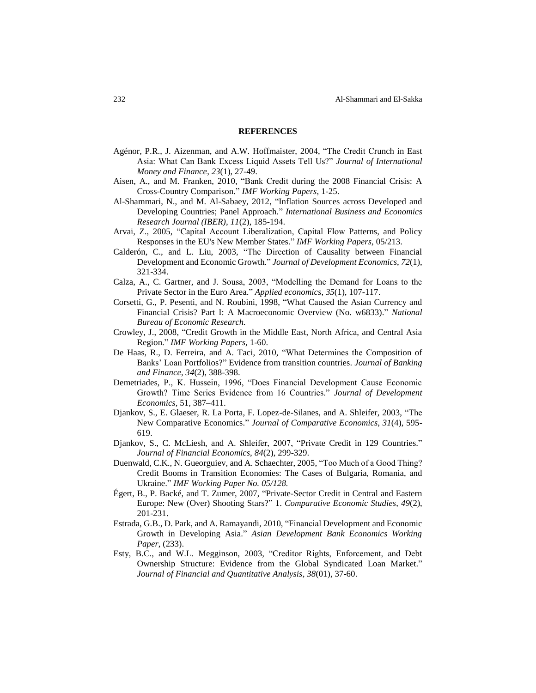#### **REFERENCES**

- Agénor, P.R., J. Aizenman, and A.W. Hoffmaister, 2004, "The Credit Crunch in East Asia: What Can Bank Excess Liquid Assets Tell Us?" *Journal of International Money and Finance*, *23*(1), 27-49.
- Aisen, A., and M. Franken, 2010, "Bank Credit during the 2008 Financial Crisis: A Cross-Country Comparison." *IMF Working Papers*, 1-25.
- Al-Shammari, N., and M. Al-Sabaey, 2012, "Inflation Sources across Developed and Developing Countries; Panel Approach." *International Business and Economics Research Journal (IBER)*, *11*(2), 185-194.
- Arvai, Z., 2005, "Capital Account Liberalization, Capital Flow Patterns, and Policy Responses in the EU's New Member States." *IMF Working Papers*, 05/213.
- Calderón, C., and L. Liu, 2003, "The Direction of Causality between Financial Development and Economic Growth." *Journal of Development Economics*, *72*(1), 321-334.
- Calza, A., C. Gartner, and J. Sousa, 2003, "Modelling the Demand for Loans to the Private Sector in the Euro Area." *Applied economics*, *35*(1), 107-117.
- Corsetti, G., P. Pesenti, and N. Roubini, 1998, "What Caused the Asian Currency and Financial Crisis? Part I: A Macroeconomic Overview (No. w6833)." *National Bureau of Economic Research.*
- Crowley, J., 2008, "Credit Growth in the Middle East, North Africa, and Central Asia Region." *IMF Working Papers*, 1-60.
- De Haas, R., D. Ferreira, and A. Taci, 2010, "What Determines the Composition of Banks' Loan Portfolios?" Evidence from transition countries. *Journal of Banking and Finance*, *34*(2), 388-398.
- Demetriades, P., K. Hussein, 1996, "Does Financial Development Cause Economic Growth? Time Series Evidence from 16 Countries." *Journal of Development Economics,* 51, 387–411.
- Djankov, S., E. Glaeser, R. La Porta, F. Lopez-de-Silanes, and A. Shleifer, 2003, "The New Comparative Economics." *Journal of Comparative Economics*, *31*(4), 595- 619.
- Djankov, S., C. McLiesh, and A. Shleifer, 2007, "Private Credit in 129 Countries." *Journal of Financial Economics*, *84*(2), 299-329.
- Duenwald, C.K., N. Gueorguiev, and A. Schaechter, 2005, "Too Much of a Good Thing? Credit Booms in Transition Economies: The Cases of Bulgaria, Romania, and Ukraine." *IMF Working Paper No. 05/128.*
- Égert, B., P. Backé, and T. Zumer, 2007, "Private-Sector Credit in Central and Eastern Europe: New (Over) Shooting Stars?" 1. *Comparative Economic Studies*, *49*(2), 201-231.
- Estrada, G.B., D. Park, and A. Ramayandi, 2010, "Financial Development and Economic Growth in Developing Asia." *Asian Development Bank Economics Working Paper*, (233).
- Esty, B.C., and W.L. Megginson, 2003, "Creditor Rights, Enforcement, and Debt Ownership Structure: Evidence from the Global Syndicated Loan Market." *Journal of Financial and Quantitative Analysis*, *38*(01), 37-60.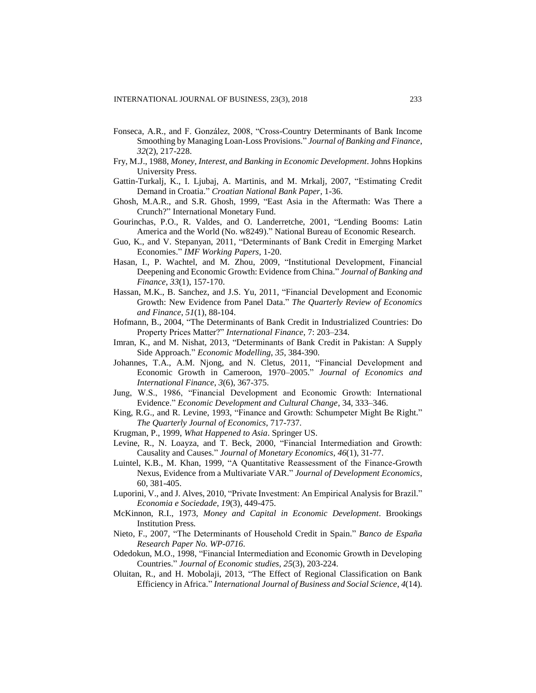- Fonseca, A.R., and F. González, 2008, "Cross-Country Determinants of Bank Income Smoothing by Managing Loan-Loss Provisions." *Journal of Banking and Finance*, *32*(2), 217-228.
- Fry, M.J., 1988, *Money, Interest, and Banking in Economic Development*. Johns Hopkins University Press.
- Gattin-Turkalj, K., I. Ljubaj, A. Martinis, and M. Mrkalj, 2007, "Estimating Credit Demand in Croatia." *Croatian National Bank Paper*, 1-36.
- Ghosh, M.A.R., and S.R. Ghosh, 1999, "East Asia in the Aftermath: Was There a Crunch?" International Monetary Fund.
- Gourinchas, P.O., R. Valdes, and O. Landerretche, 2001, "Lending Booms: Latin America and the World (No. w8249)." National Bureau of Economic Research.
- Guo, K., and V. Stepanyan, 2011, "Determinants of Bank Credit in Emerging Market Economies." *IMF Working Papers*, 1-20.
- Hasan, I., P. Wachtel, and M. Zhou, 2009, "Institutional Development, Financial Deepening and Economic Growth: Evidence from China." *Journal of Banking and Finance*, *33*(1), 157-170.
- Hassan, M.K., B. Sanchez, and J.S. Yu, 2011, "Financial Development and Economic Growth: New Evidence from Panel Data." *The Quarterly Review of Economics and Finance*, *51*(1), 88-104.
- Hofmann, B., 2004, "The Determinants of Bank Credit in Industrialized Countries: Do Property Prices Matter?" *International Finance*, 7: 203–234.
- Imran, K., and M. Nishat, 2013, "Determinants of Bank Credit in Pakistan: A Supply Side Approach." *Economic Modelling*, *35*, 384-390.
- Johannes, T.A., A.M. Njong, and N. Cletus, 2011, "Financial Development and Economic Growth in Cameroon, 1970–2005." *Journal of Economics and International Finance*, *3*(6), 367-375.
- Jung, W.S., 1986, "Financial Development and Economic Growth: International Evidence." *Economic Development and Cultural Change*, 34, 333–346.
- King, R.G., and R. Levine, 1993, "Finance and Growth: Schumpeter Might Be Right." *The Quarterly Journal of Economics*, 717-737.
- Krugman, P., 1999, *What Happened to Asia*. Springer US.
- Levine, R., N. Loayza, and T. Beck, 2000, "Financial Intermediation and Growth: Causality and Causes." *Journal of Monetary Economics*, *46*(1), 31-77.
- Luintel, K.B., M. Khan, 1999, "A Quantitative Reassessment of the Finance-Growth Nexus, Evidence from a Multivariate VAR." *Journal of Development Economics*, 60, 381-405.
- Luporini, V., and J. Alves, 2010, "Private Investment: An Empirical Analysis for Brazil." *Economia e Sociedade*, *19*(3), 449-475.
- McKinnon, R.I., 1973, *Money and Capital in Economic Development*. Brookings Institution Press.
- Nieto, F., 2007, "The Determinants of Household Credit in Spain." *Banco de España Research Paper No. WP-0716*.
- Odedokun, M.O., 1998, "Financial Intermediation and Economic Growth in Developing Countries." *Journal of Economic studies*, *25*(3), 203-224.
- Oluitan, R., and H. Mobolaji, 2013, "The Effect of Regional Classification on Bank Efficiency in Africa." *International Journal of Business and Social Science*, *4*(14).